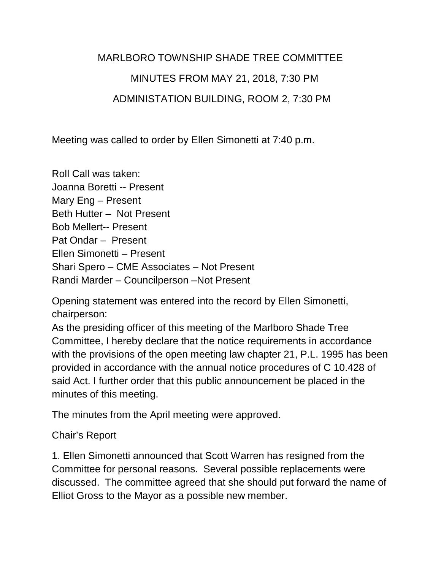## MARLBORO TOWNSHIP SHADE TREE COMMITTEE MINUTES FROM MAY 21, 2018, 7:30 PM ADMINISTATION BUILDING, ROOM 2, 7:30 PM

Meeting was called to order by Ellen Simonetti at 7:40 p.m.

Roll Call was taken: Joanna Boretti -- Present Mary Eng – Present Beth Hutter – Not Present Bob Mellert-- Present Pat Ondar – Present Ellen Simonetti – Present Shari Spero – CME Associates – Not Present Randi Marder – Councilperson –Not Present

Opening statement was entered into the record by Ellen Simonetti, chairperson:

As the presiding officer of this meeting of the Marlboro Shade Tree Committee, I hereby declare that the notice requirements in accordance with the provisions of the open meeting law chapter 21, P.L. 1995 has been provided in accordance with the annual notice procedures of C 10.428 of said Act. I further order that this public announcement be placed in the minutes of this meeting.

The minutes from the April meeting were approved.

## Chair's Report

1. Ellen Simonetti announced that Scott Warren has resigned from the Committee for personal reasons. Several possible replacements were discussed. The committee agreed that she should put forward the name of Elliot Gross to the Mayor as a possible new member.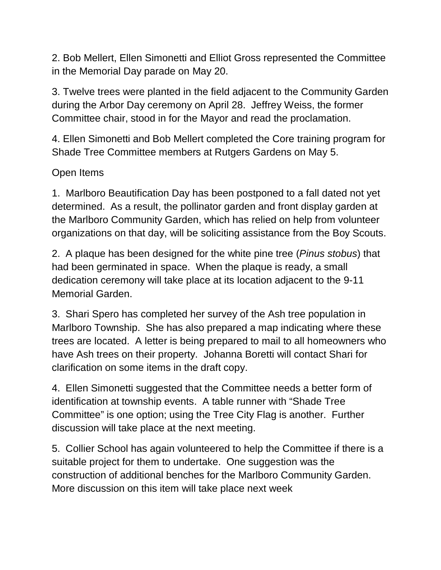2. Bob Mellert, Ellen Simonetti and Elliot Gross represented the Committee in the Memorial Day parade on May 20.

3. Twelve trees were planted in the field adjacent to the Community Garden during the Arbor Day ceremony on April 28. Jeffrey Weiss, the former Committee chair, stood in for the Mayor and read the proclamation.

4. Ellen Simonetti and Bob Mellert completed the Core training program for Shade Tree Committee members at Rutgers Gardens on May 5.

## Open Items

1. Marlboro Beautification Day has been postponed to a fall dated not yet determined. As a result, the pollinator garden and front display garden at the Marlboro Community Garden, which has relied on help from volunteer organizations on that day, will be soliciting assistance from the Boy Scouts.

2. A plaque has been designed for the white pine tree (*Pinus stobus*) that had been germinated in space. When the plaque is ready, a small dedication ceremony will take place at its location adjacent to the 9-11 Memorial Garden.

3. Shari Spero has completed her survey of the Ash tree population in Marlboro Township. She has also prepared a map indicating where these trees are located. A letter is being prepared to mail to all homeowners who have Ash trees on their property. Johanna Boretti will contact Shari for clarification on some items in the draft copy.

4. Ellen Simonetti suggested that the Committee needs a better form of identification at township events. A table runner with "Shade Tree Committee" is one option; using the Tree City Flag is another. Further discussion will take place at the next meeting.

5. Collier School has again volunteered to help the Committee if there is a suitable project for them to undertake. One suggestion was the construction of additional benches for the Marlboro Community Garden. More discussion on this item will take place next week